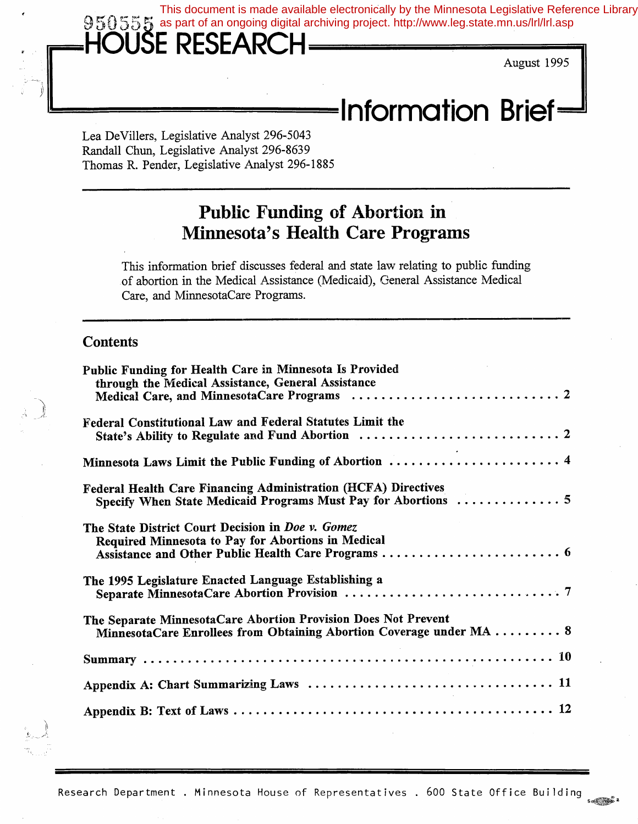This document is made available electronically by the Minnesota Legislative Reference Library 950555 as part of an ongoing digital archiving project. http://www.leg.state.mn.us/lrl/lrl.asp

# **ISE RESEARCH**

August 1995

# ~~!!!!!!!!!!!!!!!~!!!!!!!!!!!!!!!!!!!!!!!!!!!!!!!!!!!!!!!!!!!!!!!!!!!!!!!!!!!! I **n format ion Brief**

Lea De Villers, Legislative Analyst 296-5043 Randall Chun, Legislative Analyst 296-8639 Thomas R. Pender, Legislative Analyst 296-1885

## **Public Funding of Abortion in Minnesota's Health. Care Programs**

This information brief discusses federal and state law relating to public funding of abortion in the Medical Assistance (Medicaid), General Assistance Medical Care, and MinnesotaCare Programs.

#### **Contents**

| Public Funding for Health Care in Minnesota Is Provided<br>through the Medical Assistance, General Assistance                          |
|----------------------------------------------------------------------------------------------------------------------------------------|
| Federal Constitutional Law and Federal Statutes Limit the                                                                              |
| Minnesota Laws Limit the Public Funding of Abortion  4                                                                                 |
| Federal Health Care Financing Administration (HCFA) Directives<br>Specify When State Medicaid Programs Must Pay for Abortions  5       |
| The State District Court Decision in Doe v. Gomez<br>Required Minnesota to Pay for Abortions in Medical                                |
| The 1995 Legislature Enacted Language Establishing a                                                                                   |
| The Separate MinnesotaCare Abortion Provision Does Not Prevent<br>MinnesotaCare Enrollees from Obtaining Abortion Coverage under MA  8 |
|                                                                                                                                        |
|                                                                                                                                        |
|                                                                                                                                        |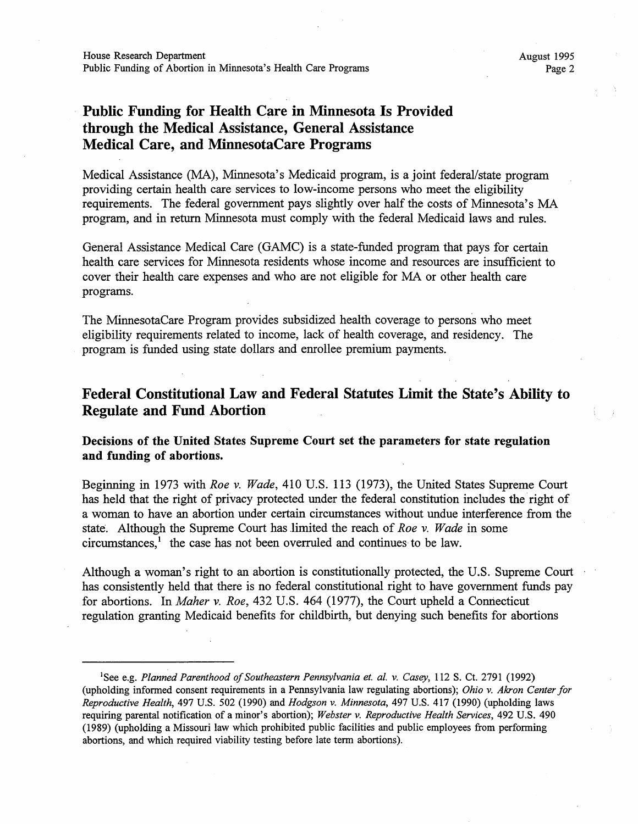## Public Funding for Health Care in Minnesota Is Provided **through the Medical Assistance, General Assistance Medical Care, and MinnesotaCare Programs**

Medical Assistance (MA), Minnesota's Medicaid program, is a joint federal/state program providing certain health care services to low-income persons who meet the eligibility requirements. The federal government pays slightly over half the costs of Minnesota's MA program, and in return Minnesota must comply with the federal Medicaid laws and rules.

General Assistance Medical Care (GAMC) is a state-funded program that pays for certain health care services for Minnesota residents whose income and resources are insufficient to cover their health care expenses and who are not eligible for MA or other health care programs.

The MinnesotaCare Program provides subsidized health coverage to persons who meet eligibility requirements related to income, lack of health coverage, and residency. The program is funded using state dollars and enrollee premium payments.

## **Federal Constitutional Law and Federal Statutes Limit the State's Ability to Regulate and Fund Abortion**

#### **Decisions of the United States Supreme Court set the parameters for state regulation and funding of abortions.**

Beginning in 1973 with *Roe v. Wade,* 410 U.S. 113 (1973), the United States Supreme Court has held that the right of privacy protected under the federal constitution includes the right of a woman to have an abortion under certain circumstances without undue interference from the state. Although the Supreme Court has limited the reach of *Roe v. Wade* in some  $circ$  the case has not been overruled and continues to be law.

Although a woman's right to an abortion is constitutionally protected, the U.S. Supreme Court has consistently held that there is no federal constitutional right to have government funds pay for abortions. In *Maher v. Roe,* 432 U.S. 464 (1977), the Court upheld a Connecticut regulation granting Medicaid benefits for childbirth, but denying such benefits for abortions

<sup>&</sup>lt;sup>1</sup>See e.g. *Planned Parenthood of Southeastern Pennsylvania et. al. v. Casey*, 112 S. Ct. 2791 (1992) (upholding informed consent requirements in a Pennsylvania law regulating abortions); *Ohio v. Akron Center for Reproductive Health,* 497 U.S. 502 (1990) and *Hodgson v. Minnesota,* 497 U.S. 417 (1990) (upholding laws requiring parental notification of a minor's abortion); *Webster v. Reproductive Health Services,* 492 U.S. 490 (1989) (upholding a Missouri law which prohibited public facilities and public employees from performing abortions, and which required viability testing before late term abortions).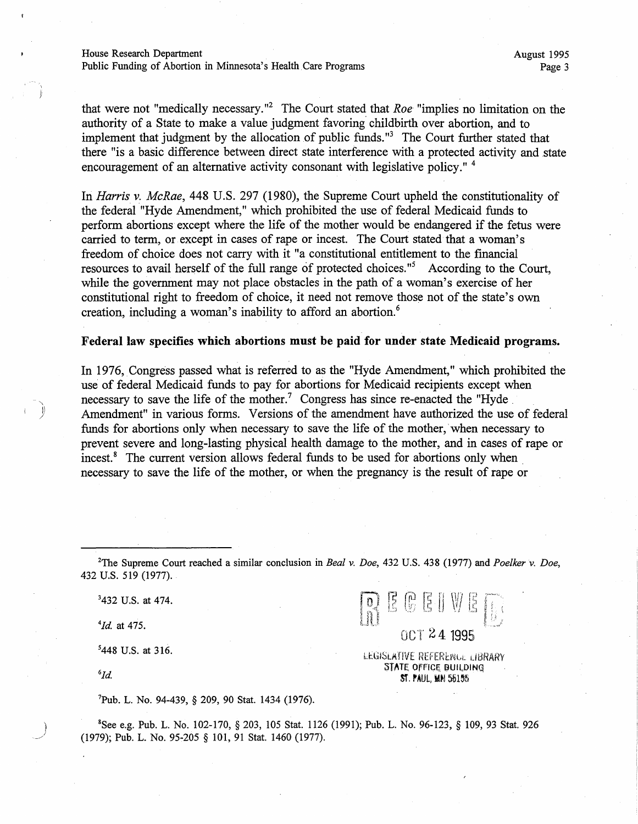that were not "medically necessary."<sup>2</sup> The Court stated that *Roe* "implies no limitation on the authority of a State to make a value judgment favoring childbirth over abortion, and to implement that judgment by the allocation of public funds. " 3 The Court further stated that there "is a basic difference between direct state interference with a protected activity and state encouragement of an alternative activity consonant with legislative policy."<sup>4</sup>

In *Harris v. McRae,* 448 U.S. 297 (1980), the Supreme Court upheld the constitutionality of the federal "Hyde Amendment," which prohibited the use of federal Medicaid funds to perform abortions except where the life of the mother would be endangered if the fetus were carried to term, or except in cases of rape or incest. The Court stated that a woman's freedom of choice does not carry with it "a constitutional entitlement to the financial resources to avail herself of the full range of protected choices."<sup>5</sup> According to the Court, while the government may not place obstacles in the path of a woman's exercise of her constitutional right to freedom of choice, it need not remove those not of the state's own creation, including a woman's inability to afford an abortion.<sup>6</sup>

#### **Federal law specifies which abortions must be paid for under state Medicaid programs.**

In 1976, Congress passed what is referred to as the "Hyde Amendment," which prohibited the use of federal Medicaid funds to pay for abortions for Medicaid recipients except when necessary to save the life of the mother.<sup>7</sup> Congress has since re-enacted the "Hyde Amendment" in various forms. Versions of the amendment have authorized the use of federal funds for abortions only when necessary to save the life of the mother, when necessary to prevent severe and long-lasting physical health damage to the mother, and in cases of rape or incest.<sup>8</sup> The current version allows federal funds to be used for abortions only when necessary to save the life of the mother, or when the pregnancy is the result of rape or

2 The Supreme Court reached a similar conclusion in *Beal v. Doe,* 432 U.S. 438 (1977) and *Poelker v. Doe,*  432 U.S. 519 (1977).

> LEGISLATIVE REFERERUL LIBRARY STATE OFFICE BUILDING ST. PAUL, MN 55155

001 24 1995

 $R$  is G is a will

3 432 U.S. at 474.

*4 1d.* at 475.

5 448 U.S. at 316.

 ${}^6\!Id.$ 

<sup>7</sup>Pub. L. No. 94-439, § 209, 90 Stat. 1434 (1976).

) <sup>8</sup>  $S^8$ See e.g. Pub. L. No. 102-170, § 203, 105 Stat. 1126 (1991); Pub. L. No. 96-123, § 109, 93 Stat. 926 (1979); Pub. L. No. 95-205 § 101, 91 Stat. 1460 (1977).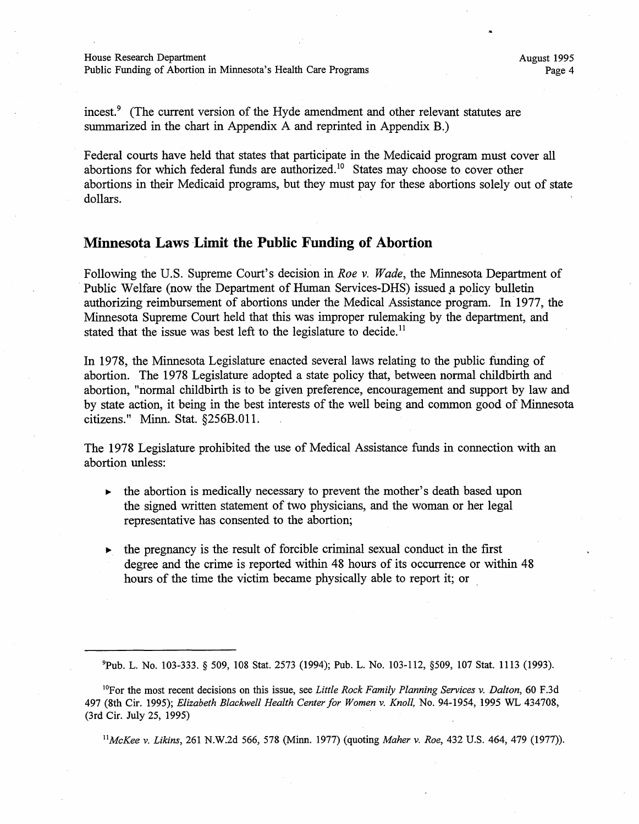House Research Department

Public Funding of Abortion in Minnesota's Health Care Programs

incest.<sup>9</sup> (The current version of the Hyde amendment and other relevant statutes are summarized in the chart in Appendix A and reprinted in Appendix B.)

Federal courts have held that states that participate in the Medicaid program must cover all abortions for which federal funds are authorized.<sup>10</sup> States may choose to cover other abortions in their Medicaid programs, but they must pay for these abortions solely out of state dollars.

#### **Minnesota Laws Limit the Public Funding of Abortion**

Following the U.S. Supreme Court's decision in *Roe v. Wade,* the Minnesota Department of Public Welfare (now the Department of Human Services-DHS) issued a policy bulletin authorizing reimbursement of abortions under the Medical Assistance program. In· 1977, the Minnesota Supreme Court held that this was improper rulemaking by the department, and stated that the issue was best left to the legislature to decide.<sup>11</sup>

In 1978, the Minnesota Legislature enacted several laws relating to the public funding of abortion. The 1978 Legislature adopted a state policy that, between normal childbirth and abortion, "normal childbirth is to be given preference, encouragement and support by law and by state action, it being in the best interests of the well being and common good of Minnesota citizens." Minn. Stat. §256B.011.

The 1978 Legislature prohibited the use of Medical Assistance funds in connection with an abortion unless:

- $\blacktriangleright$  the abortion is medically necessary to prevent the mother's death based upon the signed written statement of two physicians, and the woman or her legal representative has consented to the abortion;
- $\blacktriangleright$  the pregnancy is the result of forcible criminal sexual conduct in the first degree and the crime is reported within 48 hours of its occurrence or within 48 hours of the time the victim became physically able to report it; or

9 Pub. L. No. 103-333. § 509, 108 Stat. 2573 (1994); Pub. L. No. 103-112, §509, 107 Stat. 1113 (1993).

1 °For the most recent decisions on this issue, see *Little Rock Family Planning Services v. Dalton,* 60 F.3d 497 (8th Cir. 1995); *Elizabeth Blackwell Health Center for Women v. Knoll,* No. 94-1954, 1995 WL 434708, (3rd Cir. July 25, 1995)

*11McKee v. Likins,* 261 N.W.2d 566, 578 (Minn. 1977) (quoting *Maher v. Roe,* 432 U.S. 464, 479 (1977)).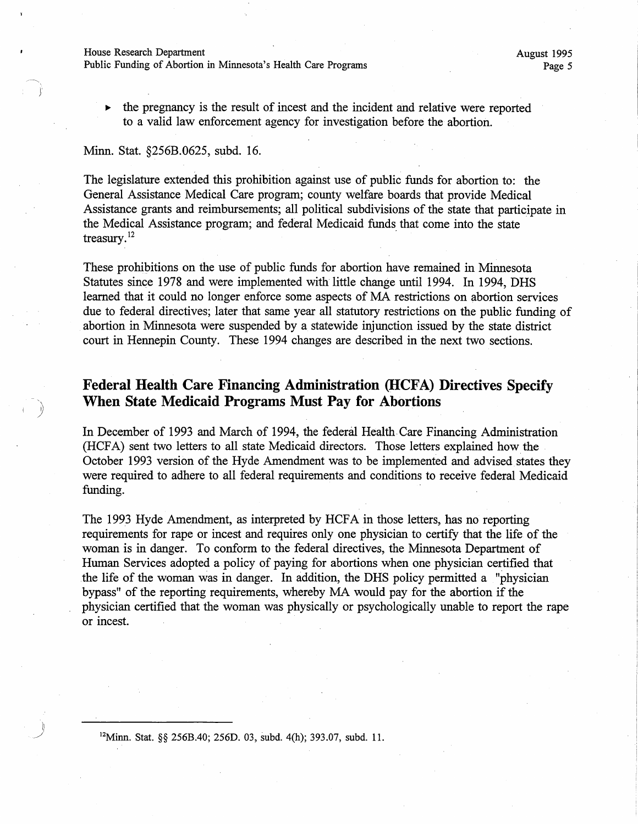House Research Department

1· *l* 

I )

Public Funding of Abortion in Minnesota's Health Care Programs

• the pregnancy is the result of incest and the incident and relative were reported to a valid law enforcement agency for investigation before the abortion.

#### Minn. Stat. §256B.0625, subd. 16.

The legislature extended this prohibition against use of public funds for abortion to: the General Assistance Medical Care program; county welfare boards that provide Medical Assistance grants and reimbursements; all political subdivisions of the state that participate in the Medical Assistance program; and federal Medicaid funds that come into the state treasury. $^{12}$ 

These prohibitions on the use of public funds for abortion have remained in Minnesota Statutes since 1978 and were implemented with little change until 1994. In 1994, DHS learned that it could no longer enforce some aspects of MA restrictions on abortion services due to federal directives; later that same year all statutory restrictions on the public funding of abortion in Minnesota were suspended by a statewide injunction issued by the state district court in Hennepin County. These 1994 changes are described in the next two sections.

### **Federal Health Care Financing Administration (IICFA) Directives Specify When State Medicaid Programs Must Pay for Abortions**

In December of 1993 and March of 1994, the federal Health.Care Financing Administration (HCFA) sent two letters to all state Medicaid directors. Those letters explained how the October 1993 version of the Hyde Amendment was to be implemented and advised states they were required to adhere to all federal requirements and conditions to receive federal Medicaid funding. .

The 1993 Hyde Amendment, as interpreted by HCFA in those letters, has no reporting requirements for rape or incest and requires only one physician to certify that the life of the woman is in danger. To conform to the federal directives, the Minnesota Department of Human Services adopted a policy of paying for abortions when one physician certified that the life of the woman was in danger. In addition, the DHS policy permitted a "physician bypass" of the reporting requirements, whereby MA would pay for the abortion if the physician certified that the woman was physically or psychologically unable to report the rape or incest.

12Minn. Stat. §§ 256B.40; 256D. 03, subd. 4(h); 393.07, subd. 11.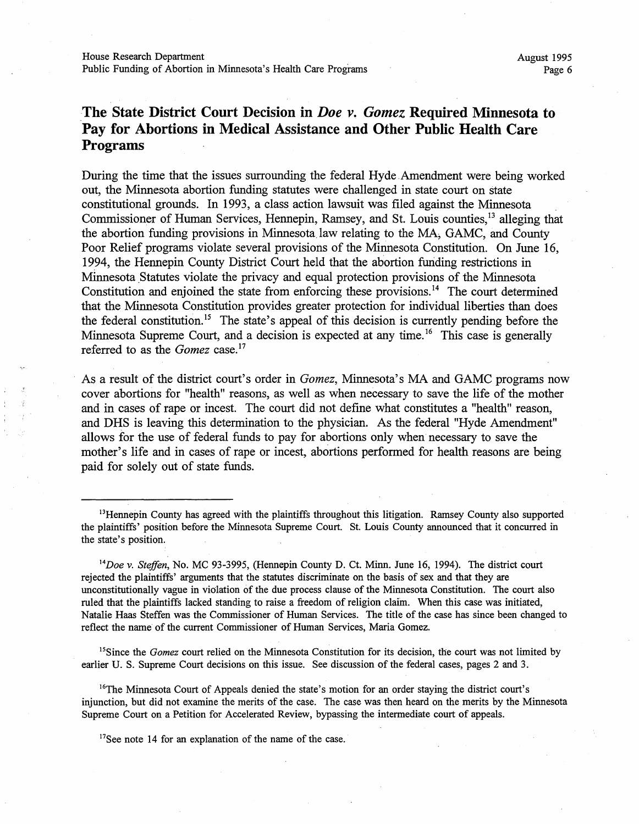## **The State District Court Decision in** *Doe v. Gomez* **Required Minnesota to Pay for Abortions in Medical Assistance and Other Public Health Care Programs**

During the time that the issues surrounding the federal Hyde. Amendment were being worked out, the Minnesota abortion funding statutes were challenged in state court on state constitutional grounds. In 1993, a class action lawsuit was filed against the Minnesota Commissioner of Human Services, Hennepin, Ramsey, and St. Louis counties,<sup>13</sup> alleging that the abortion funding provisions in Minnesota law relating to the MA, GAMC, and County Poor Relief programs violate several provisions of the Minnesota Constitution. On June 16, 1994, the Hennepin County District Court held that the abortion funding restrictions in Minnesota Statutes violate the privacy and equal protection provisions of the Minnesota Constitution and enjoined the state from enforcing these provisions.<sup>14</sup> The court determined that the Minnesota Constitution provides greater protection for individual liberties than does the federal constitution.<sup>15</sup> The state's appeal of this decision is currently pending before the Minnesota Supreme Court, and a decision is expected at any time.<sup>16</sup> This case is generally referred to as the *Gomez* case.<sup>17</sup>

As a result of the district court's order in *Gomez,* Minnesota's MA and GAMC programs now cover abortions for "health" reasons, as well as when necessary to save the life of the mother and in cases of rape or incest. The court did not define what constitutes a "health" reason, and DHS is leaving this determination to the physician. As the federal "Hyde Amendment" allows for the use of federal funds to pay for abortions only when necessary to save the mother's life and in cases of rape or incest, abortions performed for health reasons are being paid for solely out of state funds.

<sup>15</sup>Since the *Gomez* court relied on the Minnesota Constitution for its decision, the court was not limited by earlier U. S. Supreme Court decisions on this issue. See discussion of the federal cases, pages 2 and 3.

<sup>16</sup>The Minnesota Court of Appeals denied the state's motion for an order staying the district court's injunction, but did not examine the merits of the case. The case was then heard on the merits by the Minnesota Supreme Court on a Petition for Accelerated Review, bypassing the intermediate court of appeals.

<sup>17</sup>See note 14 for an explanation of the name of the case.

<sup>&</sup>lt;sup>13</sup>Hennepin County has agreed with the plaintiffs throughout this litigation. Ramsey County also supported the plaintiffs' position before the Minnesota Supreme Court. St. Louis County announced that it concurred in the state's position.

<sup>14</sup>*Doe* v. *Steffen,* No. MC 93-3995, (Hennepin County D. Ct. Minn. June 16, 1994). The district court rejected the plaintiffs' arguments that the statutes discriminate on the basis of sex and that they are unconstitutionally vague in violation of the due process clause of the Minnesota Constitution. The court also ruled that the plaintiffs lacked standing to raise a freedom of religion claim. When this case was initiated, Natalie Haas Steffen was the Commissioner of Human Services. The title of the case has since been changed to reflect the name of the current Commissioner of Human Services, Maria Gomez.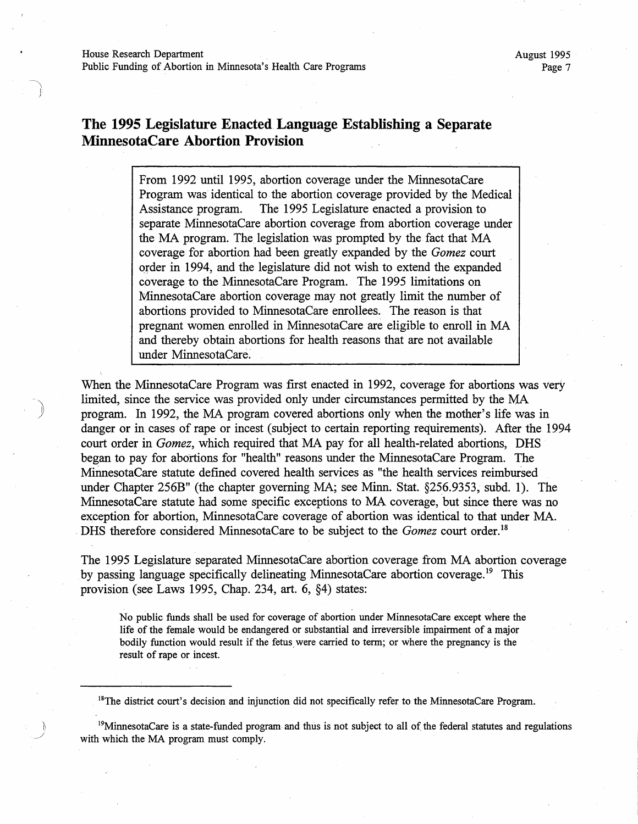)

## **The 1995 Legislature Enacted Language Establishing a Separate MinnesotaCare Abortion Provision**

From 1992 until 1995, abortion coverage under the MinnesotaCare Program was identical to the abortion coverage provided by the Medical Assistance program. The 1995 Legislature enacted a provision to separate MinnesotaCare abortion coverage from abortion coverage under the MA program. The legislation was prompted by the fact that MA coverage for abortion had been greatly expanded by the *Gomez* court order in 1994, and the legislature did not wish to extend the expanded coverage to the MinnesotaCare Program. The 1995 limitations on MinnesotaCare abortion coverage may not greatly limit the number of abortions provided to MinnesotaCare enrollees. The reason is that pregnant women enrolled in MinnesotaCare are eligible to enroll in MA and thereby obtain abortions for health reasons that are not available under MinnesotaCare:

When the MinnesotaCare Program was first enacted in 1992, coverage for abortions was very limited, since the service was provided only under circumstances permitted by the MA program. In 1992, the MA program covered abortions only when the mother's life was in danger or in cases of rape or incest (subject to certain reporting requirements). After the 1994 court order in *Gomez,* which required that MA pay for all health-related abortions, DRS began to pay for abortions for "health" reasons under the MinnesotaCare Program. The MinnesotaCare statute defined covered health services as "the health services reimbursed under Chapter 256B" (the chapter governing MA; see Minn. Stat. §256.9353, subd. 1). The MinnesotaCare statute had some specific exceptions to MA coverage, but since there was no exception for abortion, MinnesotaCare coverage of abortion was identical to that under MA . . DHS therefore considered MinnesotaCare to be subject to the *Gomez* court order. <sup>18</sup>

The 1995 Legislature separated MinnesotaCare abortion coverage from MA abortion coverage by passing language specifically delineating MinnesotaCare abortion coverage.<sup>19</sup> This provision (see Laws 1995, Chap. 234, art. 6, §4) states:

No public funds shall be used for coverage of abortion under MinnesotaCare except where the life of the female would be endangered or substantial and irreversible impairment of a major bodily function would result if the fetus were carried to term; or where the pregnancy is the result of rape or incest.

<sup>18</sup>The district court's decision and injunction did not specifically refer to the MinnesotaCare Program.

<sup>19</sup>MinnesotaCare is a state-funded program and thus is not subject to all of the federal statutes and regulations with which the MA program must comply.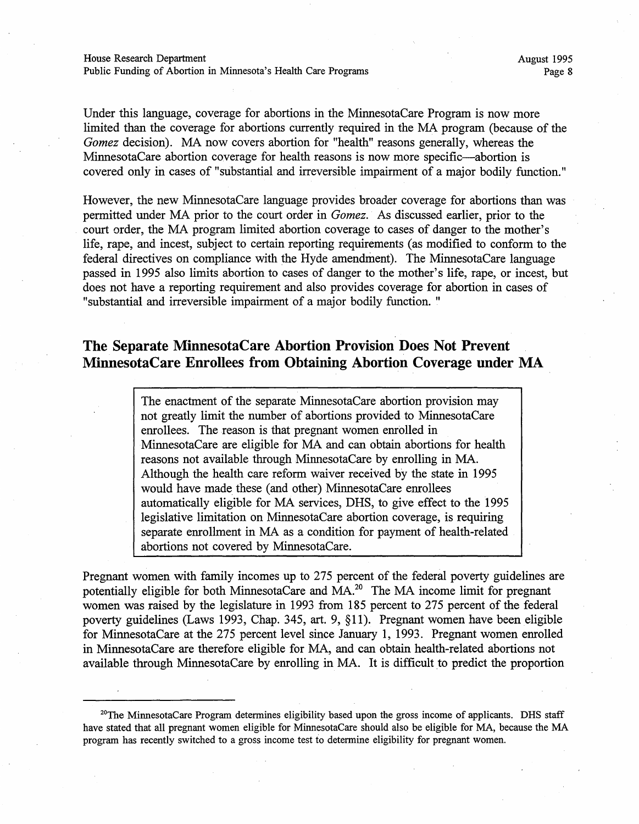Under this language, coverage for abortions in the MinnesotaCare Program is now more limited than the coverage for abortions currently required in the MA program (because of the *Gomez* decision). MA now covers abortion for "health" reasons generally, whereas the MinnesotaCare abortion coverage for health reasons is now more specific—abortion is covered only in cases of "substantial and irreversible impairment of a major bodily function."

However, the new MinnesotaCare language provides broader coverage for abortions than was permitted under MA prior to the court order in *Gomez.* As discussed earlier, prior to the court order, the MA program limited abortion coverage to cases of danger to the mother's life, rape, and incest, subject to certain reporting requirements (as modified to conform to the federal directives on compliance with the Hyde amendment). The MinnesotaCare language passed in 1995 also limits abortion to cases of danger to the mother's life, rape, or incest, but does not have a reporting requirement and also provides coverage for abortion in cases of "substantial and irreversible impairment of a major bodily function. "

## **The Separate MinnesotaCare Abortion Provision Does Not Prevent MinnesotaCare Enrollees from Obtaining Abortion Coverage under MA**

The enactment of the separate MinnesotaCare abortion provision may not greatly limit the number of abortions provided to MinnesotaCare enrollees. The reason is that pregnant women enrolled in MinnesotaCare are eligible for MA and can obtain abortions for health reasons not available through MinnesotaCare by enrolling in MA. Although the health care reform waiver received hy the state in 1995 would have made these (and other) MinnesotaCare enrollees automatically eligible for MA services, DHS, to give effect to the 1995 legislative limitation on MinnesotaCare abortion coverage, is requiring separate enrollment in MA as a condition for payment of health-related abortions not covered by MinnesotaCare.

Pregnant women with family incomes up to 275 percent of the federal poverty guidelines are potentially eligible for both MinnesotaCare and MA.20 The MA income limit for pregnant women was raised by the legislature in 1993 from 185 percent to 275 percent of the federal poverty guidelines (Laws 1993, Chap. 345, art. 9, §11). Pregnant women have been eligible for MinnesotaCare at the 275 percent level since January 1, 1993. Pregnant women enrolled in MinnesotaCare are therefore eligible for MA, and can obtain health-related abortions not available through MinnesotaCare by enrolling in MA. It is difficult to predict the proportion

 $20$ The MinnesotaCare Program determines eligibility based upon the gross income of applicants. DHS staff have stated that all pregnant women eligible for MinnesotaCare should also be eligible for MA, because the MA program has recently switched to a gross income test to determine eligibility for pregnant women.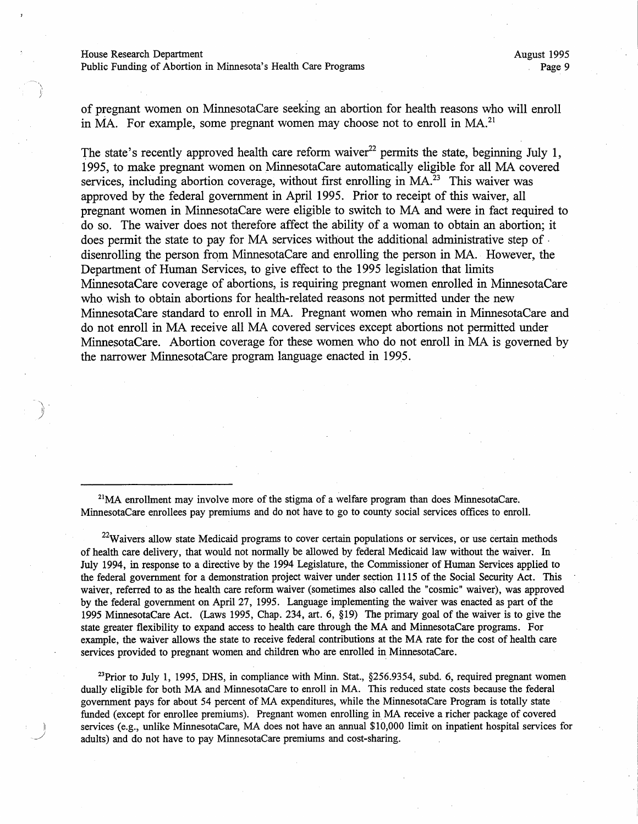$\sim$   $\sim$  . *}* 

of pregnant women on MinnesotaCare seeking an abortion for health reasons who will enroll in MA. For example, some pregnant women may choose not to enroll in MA.<sup>21</sup>

The state's recently approved health care reform waiver<sup>22</sup> permits the state, beginning July 1, 1995, to make pregnant women on MinnesotaCare automatically eligible for all MA covered services, including abortion coverage, without first enrolling in  $MA<sup>23</sup>$ . This waiver was approved by the federal government in April 1995. Prior to receipt of this waiver, all pregnant women in MinnesotaCare were eligible to switch to MA and were in fact required to do so. The waiver does not therefore affect the ability of a woman to obtain an abortion; it does permit the state to pay for MA services without the additional administrative step of . disenrolling the person from MinnesotaCare and enrolling the person in MA. However, the Department of Human Services, to give effect to the 1995 legislation that limits MinnesotaCare coverage of abortions, is requiring pregnant women enrolled in MinnesotaCare who wish to obtain abortions for health-related reasons not permitted under the new MinnesotaCare standard to enroll in MA. Pregnant women who remain in MinnesotaCare and do not enroll in MA receive all MA covered services except abortions not permitted under MinnesotaCare. Abortion coverage for these women who do not enroll in MA is governed by the narrower MinnesotaCare program language enacted in 1995.

 $2<sup>1</sup>MA$  enrollment may involve more of the stigma of a welfare program than does MinnesotaCare. MinnesotaCare enrollees pay premiums and do not have to go to county social services offices to enroll.

 $22$ Waivers allow state Medicaid programs to cover certain populations or services, or use certain methods of health care delivery, that would not normally be allowed by federal Medicaid law without the waiver. In July 1994, in response to a directive by the 1994 Legislature, the Commissioner of Human Services applied to the federal government for a demonstration project waiver under section 1115 of the Social Security Act. This waiver, referred to as the health care reform waiver (sometimes also called the "cosmic" waiver), was approved by the federal government on April 27, 1995. Language implementing the waiver was enacted as part of the 1995 MinnesotaCare Act. (Laws 1995, Chap. 234, art. 6, §19) The primary goal of the waiver is to give the state greater flexibility to expand access to health care through the MA and MinnesotaCare programs. For example, the waiver allows the state to receive federal contributions at the MA rate for the cost of health care services provided to pregnant women and children who are enrolled in MinnesotaCare.

 $23$ Prior to July 1, 1995, DHS, in compliance with Minn. Stat.,  $\S256.9354$ , subd. 6, required pregnant women dually eligible for both MA and MinnesotaCare to enroll in MA. This reduced state costs because the federal government pays for about 54 percent of MA expenditures, while the MinnesotaCare Program is totally state funded (except for enrollee premiums). Pregnant women enrolling in MA receive a richer package of covered services (e.g., unlike MinnesotaCare, MA does not have an annual \$10,000 limit on inpatient hospital services for adults) and do not have to pay MinnesotaCare premiums and cost-sharing.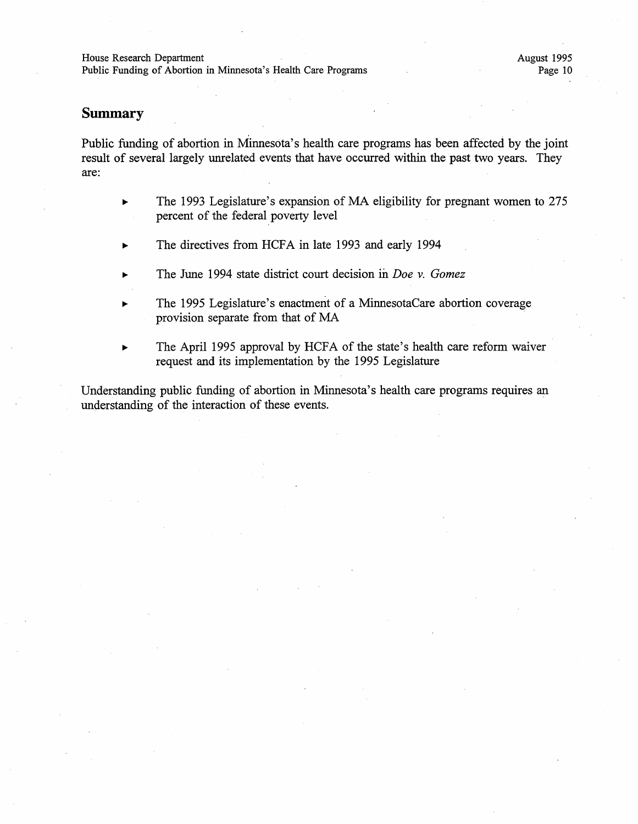Public Funding of Abortion in Minnesota's Health Care Programs

## **Summary**

Public funding of abortion in Minnesota's health care programs has been affected by the joint result of several largely unrelated events that have occurred within the past two years. They are:

- The 1993 Legislature's expansion of MA eligibility for pregnant women to 275 percent of the federal poverty level
- The directives from HCFA in late 1993 and early 1994
- The June 1994 state district court decision in *Doe v. Gomez*
- The 1995 Legislature's enactment of a MinnesotaCare abortion coverage provision separate from that of MA
- The April 1995 approval by HCFA of the state's health care reform waiver request and its implementation by the 1995 Legislature

Understanding public funding of abortion in Minnesota's health care programs requires an understanding of the interaction of these events.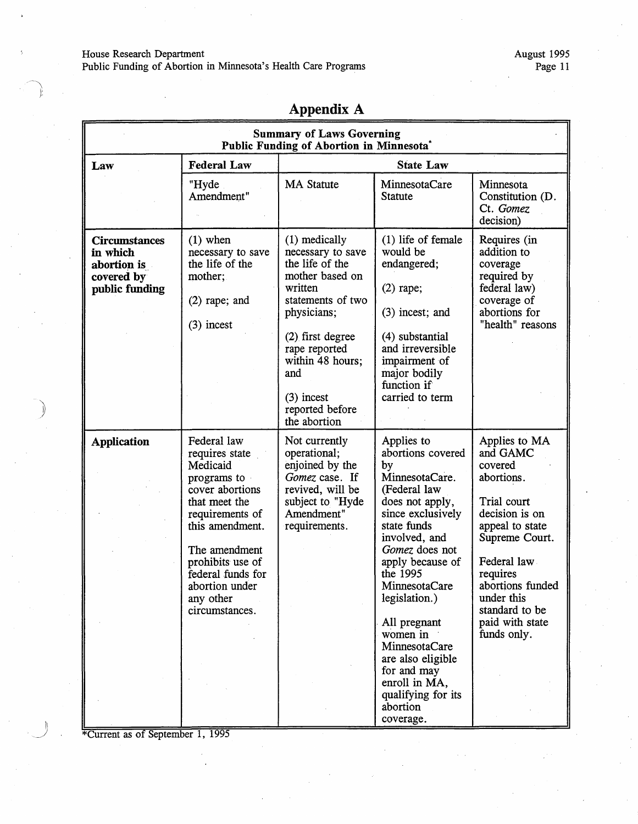#### House Research Department

Public Funding of Abortion in Minnesota's Health Care Programs

|                                                                                 | <b>Summary of Laws Governing</b><br>Public Funding of Abortion in Minnesota*                                                                                                                                                                  |                                                                                                                                                                                                                                              |                                                                                                                                                                                                                                                                                                                                                                         |                                                                                                                                                                                                                                           |  |
|---------------------------------------------------------------------------------|-----------------------------------------------------------------------------------------------------------------------------------------------------------------------------------------------------------------------------------------------|----------------------------------------------------------------------------------------------------------------------------------------------------------------------------------------------------------------------------------------------|-------------------------------------------------------------------------------------------------------------------------------------------------------------------------------------------------------------------------------------------------------------------------------------------------------------------------------------------------------------------------|-------------------------------------------------------------------------------------------------------------------------------------------------------------------------------------------------------------------------------------------|--|
| Law                                                                             | <b>Federal Law</b><br><b>State Law</b>                                                                                                                                                                                                        |                                                                                                                                                                                                                                              |                                                                                                                                                                                                                                                                                                                                                                         |                                                                                                                                                                                                                                           |  |
|                                                                                 | "Hyde<br>Amendment"                                                                                                                                                                                                                           | <b>MA Statute</b>                                                                                                                                                                                                                            | MinnesotaCare<br><b>Statute</b>                                                                                                                                                                                                                                                                                                                                         | Minnesota<br>Constitution (D.<br>Ct. Gomez<br>decision)                                                                                                                                                                                   |  |
| <b>Circumstances</b><br>in which<br>abortion is<br>covered by<br>public funding | $(1)$ when<br>necessary to save<br>the life of the<br>mother;<br>$(2)$ rape; and<br>$(3)$ incest                                                                                                                                              | (1) medically<br>necessary to save<br>the life of the<br>mother based on<br>written<br>statements of two<br>physicians;<br>$(2)$ first degree<br>rape reported<br>within 48 hours;<br>and<br>$(3)$ incest<br>reported before<br>the abortion | $(1)$ life of female<br>would be<br>endangered;<br>$(2)$ rape;<br>$(3)$ incest; and<br>(4) substantial<br>and irreversible<br>impairment of<br>major bodily<br>function if<br>carried to term                                                                                                                                                                           | Requires (in<br>addition to<br>coverage<br>required by<br>federal law)<br>coverage of<br>abortions for<br>"health" reasons                                                                                                                |  |
| <b>Application</b>                                                              | Federal law<br>requires state<br>Medicaid<br>programs to<br>cover abortions<br>that meet the<br>requirements of<br>this amendment.<br>The amendment<br>prohibits use of<br>federal funds for<br>abortion under<br>any other<br>circumstances. | Not currently<br>operational;<br>enjoined by the<br>Gomez case. If<br>revived, will be<br>subject to "Hyde<br>Amendment"<br>requirements.                                                                                                    | Applies to<br>abortions covered<br>by<br>MinnesotaCare.<br>(Federal law<br>does not apply,<br>since exclusively<br>state funds<br>involved, and<br>Gomez does not<br>apply because of<br>the 1995<br>MinnesotaCare<br>legislation.)<br>All pregnant<br>women in<br>MinnesotaCare<br>are also eligible<br>for and may<br>enroll in MA,<br>qualifying for its<br>abortion | Applies to MA<br>and GAMC<br>covered<br>abortions.<br>Trial court<br>decision is on<br>appeal to state<br>Supreme Court.<br>Federal law<br>requires<br>abortions funded<br>under this<br>standard to be<br>paid with state<br>funds only. |  |

**Appendix A** 

\*Current as of September 1, 1995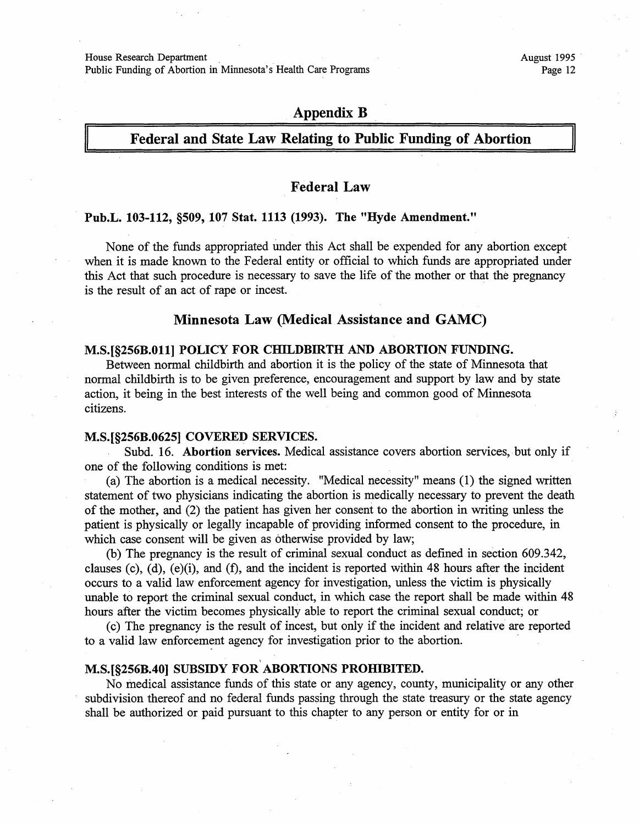House Research Department .

Public Funding of Abortion in Minnesota's Health Care Programs

## **Appendix B**

#### **Federal and State Law Relating to Public Funding of Abortion**

#### **Federal Law**

#### **Pub.L. 103-112, §509, 107 Stat. 1113 (1993). The "Hyde Amendment."**

None of the funds appropriated under this Act shall be expended for any abortion except when it is made known to the Federal entity or official to which funds are appropriated under this Act that such procedure is necessary to save the life of the mother or that the pregnancy is the result of an act of rape or incest.

#### **Minnesota Law (Medical Assistance and GAMC)**

#### **M.S.[§256B.0ll] POLICY FOR CHILDBIRTH AND ABORTION FUNDING.**

Between normal childbirth and abortion it is the policy of the state of Minnesota that normal childbirth is to be given preference, encouragement and support by law and by state action, it being in the best interests of the well being and common good of Minnesota citizens.

#### **M.S.[§256B.0625] COVERED SERVICES.**

Subd. 16. **Abortion services.** Medical assistance covers abortion services, but only if one of the following conditions is met:

(a) The abortion is a medical necessity. "Medical necessity" means (1) the signed written statement of two physicians indicating the abortion is medically necessary to prevent the death of the mother, and (2) the patient has given her consent to the abortion in writing unless the patient is physically or legally incapable of providing informed consent to the procedure, in which case consent will be given as otherwise provided by law;

(b) The pregnancy is the result of criminal sexual conduct as defined in section 609 .342, clauses (c), (d), (e)(i), and (f), and the incident is reported within 48 hours after the incident occurs to a valid law enforcement agency for investigation, unless the victim is physically unable to report the criminal sexual conduct, in which case the report shall be made within 48 hours after the victim becomes physically able to report the criminal sexual conduct; or

( c) The pregnancy is the result of incest, but only if the incident and relative· are reported to a valid law enforcement agency for investigation prior to the abortion.

## I **M.S.[§256B.40] SUBSIDY FOR ABORTIONS PROHIBITED.**

No medical assistance funds of this state or any agency, county, municipality or any other subdivision thereof and no federal funds passing through the state treasury or the state agency shall be authorized or paid pursuant to this chapter to any person or entity for or in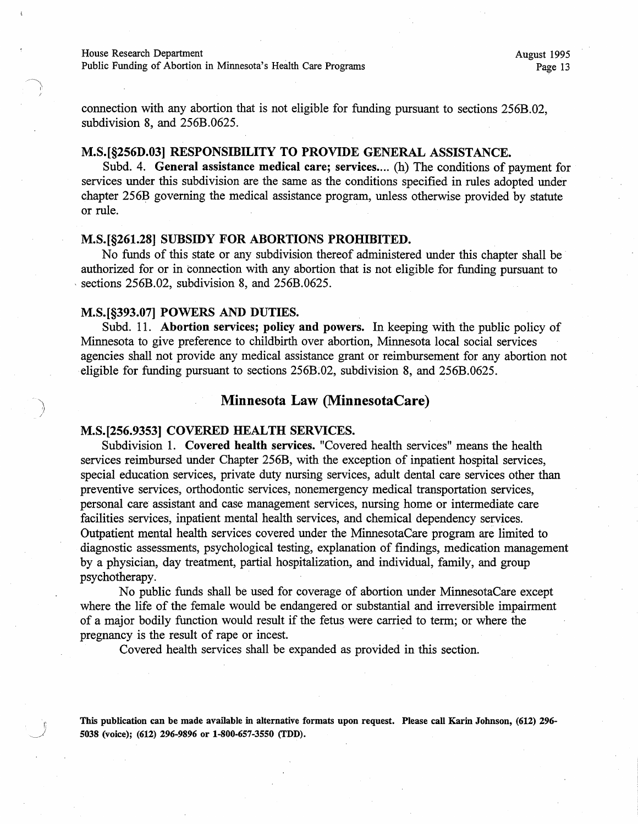connection with any abortion that is not eligible for funding pursuant to sections 256B.02, subdivision 8, and 256B.0625.

#### **M.S.[§256D.03] RESPONSIBILITY TO PROVIDE GENERAL ASSISTANCE.**

Subd. 4. **General assistance medical care; services....** (h) The conditions of payment for services under this subdivision are the same as the conditions specified in rules adopted under chapter 256B governing the medical assistance program, unless otherwise provided by statute or rule.

#### **M.S.[§261.28] SUBSIDY FOR ABORTIONS PROHIBITED.**

No funds of this state or any subdivision thereof administered under this chapter shall be · authorized for or in connection with any abortion that is not eligible for funding pursuant to sections 256B.02, subdivision 8, and 256B.0625.

#### **M.S.[§393.07] POWERS AND DUTIES.**

Subd. 11. **Abortion services; policy and powers.** In keeping with the public policy of Minnesota to give preference to childbirth over abortion, Minnesota local social services agencies shall not provide any medical assistance grant or reimbursement for any abortion not eligible for funding pursuant to sections 256B.02, subdivision 8, and 256B.0625.

#### **Minnesota Law (MinnesotaCare)**

#### **M.S.[256.9353] COVERED HEALTH SERVICES.**

Subdivision 1. **Covered health services.** "Covered health services" means the health services reimbursed under Chapter 256B, with the exception of inpatient hospital services, special education services, private duty nursing services, adult dental care services other than preventive services, orthodontic services, nonemergency medical transportation services, personal care assistant and case management services, nursing home or intermediate care facilities services, inpatient mental health services, and chemical dependency services. Outpatient mental health services covered under the MinnesotaCare program are limited to diagnostic assessments, psychological testing, explanation of findings, medication management by a physician, day treatment, partial hospitalization, and individual, family, and group psychotherapy.

No public funds shall be used for coverage of abortion under MinnesotaCare except where the life of the female would be endangered or substantial and irreversible impairment of a major bodily function would result if the fetus were carried to term; or where the pregnancy is the result of rape or incest.

Covered health services shall be expanded as provided in this section.

**This publication can be made available** in **alternative formats upon request. Please call Karin Johnson, (612) 296- 5038 (voice); (612) 296-9896 or 1-800-657-3550 (TDD).**